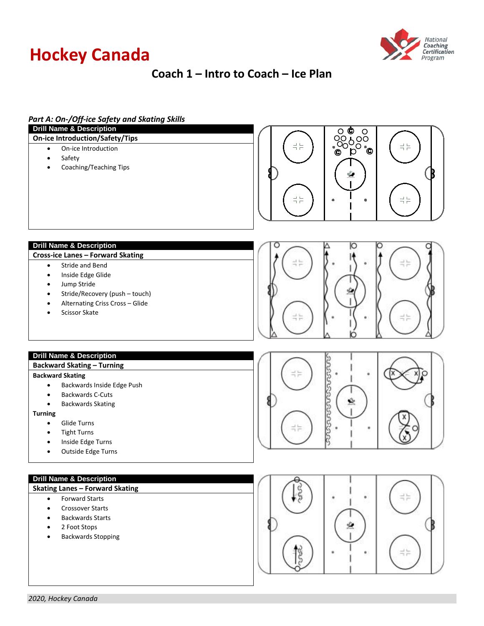# **Hockey Canada**



# **Coach 1 – Intro to Coach – Ice Plan**

| Part A: On-/Off-ice Safety and Skating Skills<br><b>Drill Name &amp; Description</b>                                                                                                                                         |                                                                                            |
|------------------------------------------------------------------------------------------------------------------------------------------------------------------------------------------------------------------------------|--------------------------------------------------------------------------------------------|
| <b>On-ice Introduction/Safety/Tips</b>                                                                                                                                                                                       | O ©<br>$\circ$                                                                             |
| On-ice Introduction<br>$\bullet$<br>Safety<br>$\bullet$<br>Coaching/Teaching Tips<br>$\bullet$                                                                                                                               | ၟၖၟၟၖ<br>ႜၜၟႝၣႝၜ<br>로는<br>$\frac{1}{1}$ $\frac{1}{1}$<br>로는<br>$\frac{1}{2}$ $\frac{1}{2}$ |
| <b>Drill Name &amp; Description</b>                                                                                                                                                                                          |                                                                                            |
| Cross-ice Lanes - Forward Skating<br>Stride and Bend<br>$\bullet$<br>Inside Edge Glide<br>$\bullet$<br>Jump Stride<br>$\bullet$<br>Stride/Recovery (push - touch)<br>Alternating Criss Cross - Glide<br><b>Scissor Skate</b> | T F                                                                                        |
| <b>Drill Name &amp; Description</b><br><b>Backward Skating - Turning</b>                                                                                                                                                     |                                                                                            |
| <b>Backward Skating</b>                                                                                                                                                                                                      | n e                                                                                        |
| Backwards Inside Edge Push<br>٠                                                                                                                                                                                              |                                                                                            |
| <b>Backwards C-Cuts</b><br>٠<br><b>Backwards Skating</b><br>$\bullet$                                                                                                                                                        |                                                                                            |
| <b>Turning</b>                                                                                                                                                                                                               |                                                                                            |
| Glide Turns<br>$\bullet$                                                                                                                                                                                                     |                                                                                            |
| <b>Tight Turns</b><br>٠                                                                                                                                                                                                      | ∹≒                                                                                         |
| Inside Edge Turns                                                                                                                                                                                                            |                                                                                            |
| Outside Edge Turns                                                                                                                                                                                                           |                                                                                            |
| <b>Drill Name &amp; Description</b>                                                                                                                                                                                          |                                                                                            |
| <b>Skating Lanes - Forward Skating</b>                                                                                                                                                                                       | ۰                                                                                          |
| <b>Forward Starts</b><br>$\bullet$<br><b>Crossover Starts</b><br>$\bullet$                                                                                                                                                   |                                                                                            |
| <b>Backwards Starts</b><br>$\bullet$                                                                                                                                                                                         |                                                                                            |
| 2 Foot Stops<br>٠                                                                                                                                                                                                            |                                                                                            |
| <b>Backwards Stopping</b>                                                                                                                                                                                                    |                                                                                            |
|                                                                                                                                                                                                                              |                                                                                            |
|                                                                                                                                                                                                                              |                                                                                            |
|                                                                                                                                                                                                                              |                                                                                            |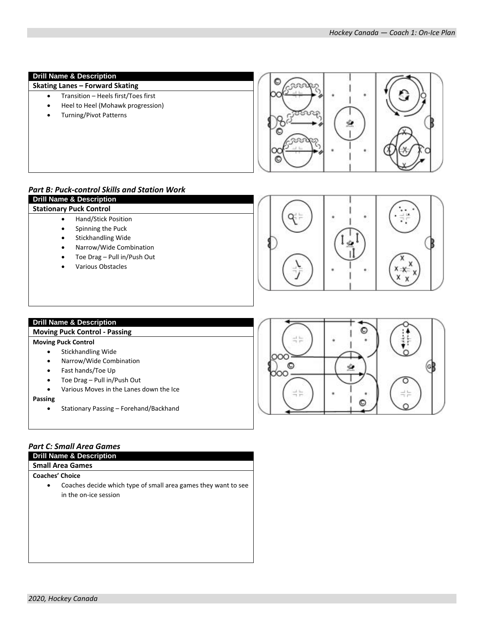## **Drill Name & Description**

# **Skating Lanes – Forward Skating**

- Transition Heels first/Toes first
- Heel to Heel (Mohawk progression)
- Turning/Pivot Patterns



# *Part B: Puck-control Skills and Station Work*

|   | <b>Drill Name &amp; Description</b> |  |
|---|-------------------------------------|--|
|   | <b>Stationary Puck Control</b>      |  |
|   | Hand/Stick Position                 |  |
|   | Spinning the Puck                   |  |
|   | <b>Stickhandling Wide</b>           |  |
| ٠ | Narrow/Wide Combination             |  |
| ٠ | Toe Drag - Pull in/Push Out         |  |
|   | <b>Various Obstacles</b>            |  |



## **Drill Name & Description**

#### **Moving Puck Control - Passing**

#### **Moving Puck Control**

- Stickhandling Wide
- Narrow/Wide Combination
- Fast hands/Toe Up
- Toe Drag Pull in/Push Out
- Various Moves in the Lanes down the Ice

**Passing**

• Stationary Passing – Forehand/Backhand

# *Part C: Small Area Games*

**Drill Name & Description**

# **Small Area Games**

**Coaches' Choice**

• Coaches decide which type of small area games they want to see in the on-ice session